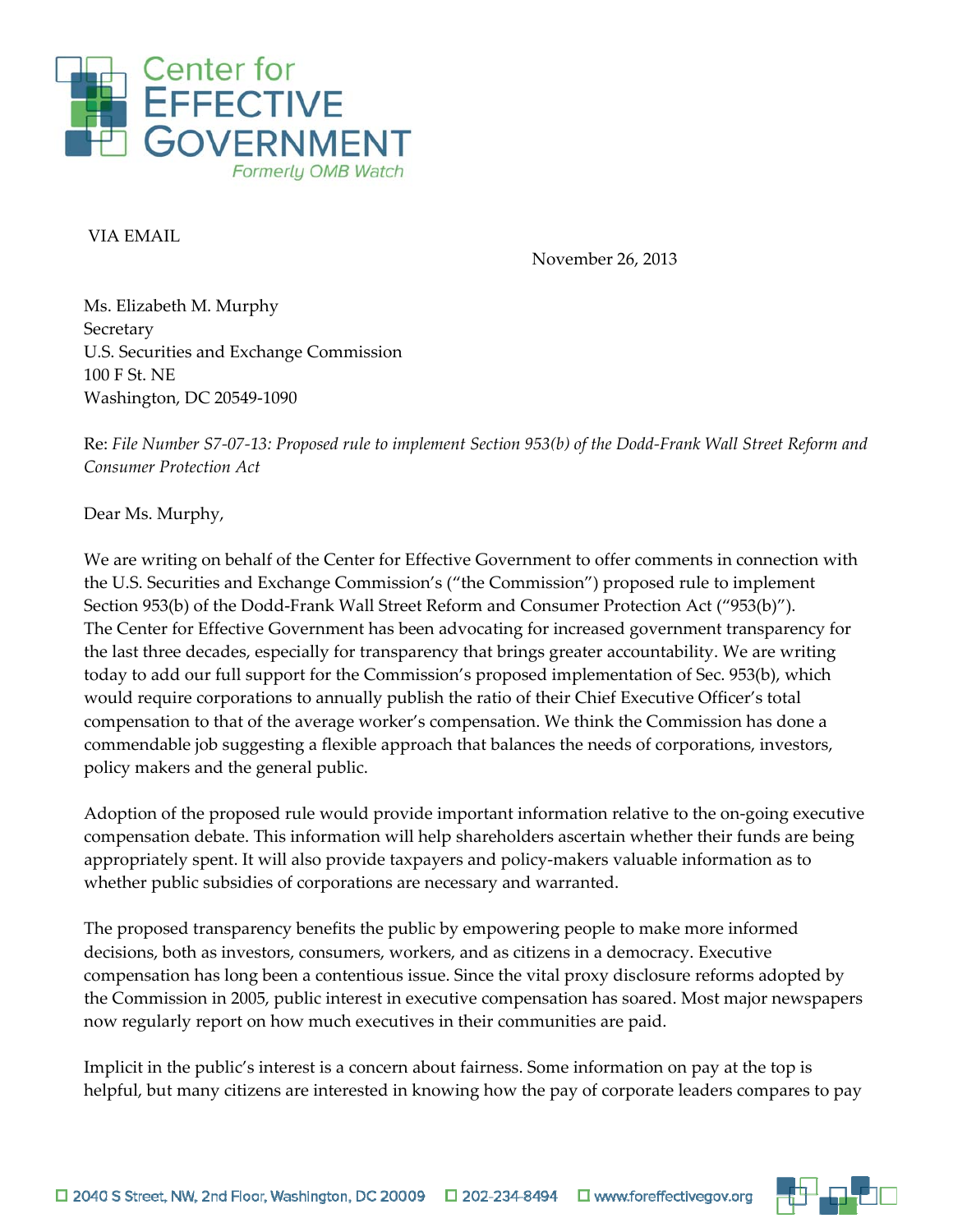

VIA EMAIL

November 26, 2013

Ms. Elizabeth M. Murphy **Secretary** U.S. Securities and Exchange Commission 100 F St. NE Washington, DC 20549‐1090

Re: File Number S7-07-13: Proposed rule to implement Section 953(b) of the Dodd-Frank Wall Street Reform and *Consumer Protection Act*

Dear Ms. Murphy,

We are writing on behalf of the Center for Effective Government to offer comments in connection with the U.S. Securities and Exchange Commission's ("the Commission") proposed rule to implement Section 953(b) of the Dodd-Frank Wall Street Reform and Consumer Protection Act ("953(b)"). The Center for Effective Government has been advocating for increased government transparency for the last three decades, especially for transparency that brings greater accountability. We are writing today to add our full support for the Commission's proposed implementation of Sec. 953(b), which would require corporations to annually publish the ratio of their Chief Executive Officer's total compensation to that of the average worker's compensation. We think the Commission has done a commendable job suggesting a flexible approach that balances the needs of corporations, investors, policy makers and the general public.

Adoption of the proposed rule would provide important information relative to the on‐going executive compensation debate. This information will help shareholders ascertain whether their funds are being appropriately spent. It will also provide taxpayers and policy‐makers valuable information as to whether public subsidies of corporations are necessary and warranted.

The proposed transparency benefits the public by empowering people to make more informed decisions, both as investors, consumers, workers, and as citizens in a democracy. Executive compensation has long been a contentious issue. Since the vital proxy disclosure reforms adopted by the Commission in 2005, public interest in executive compensation has soared. Most major newspapers now regularly report on how much executives in their communities are paid.

Implicit in the public's interest is a concern about fairness. Some information on pay at the top is helpful, but many citizens are interested in knowing how the pay of corporate leaders compares to pay

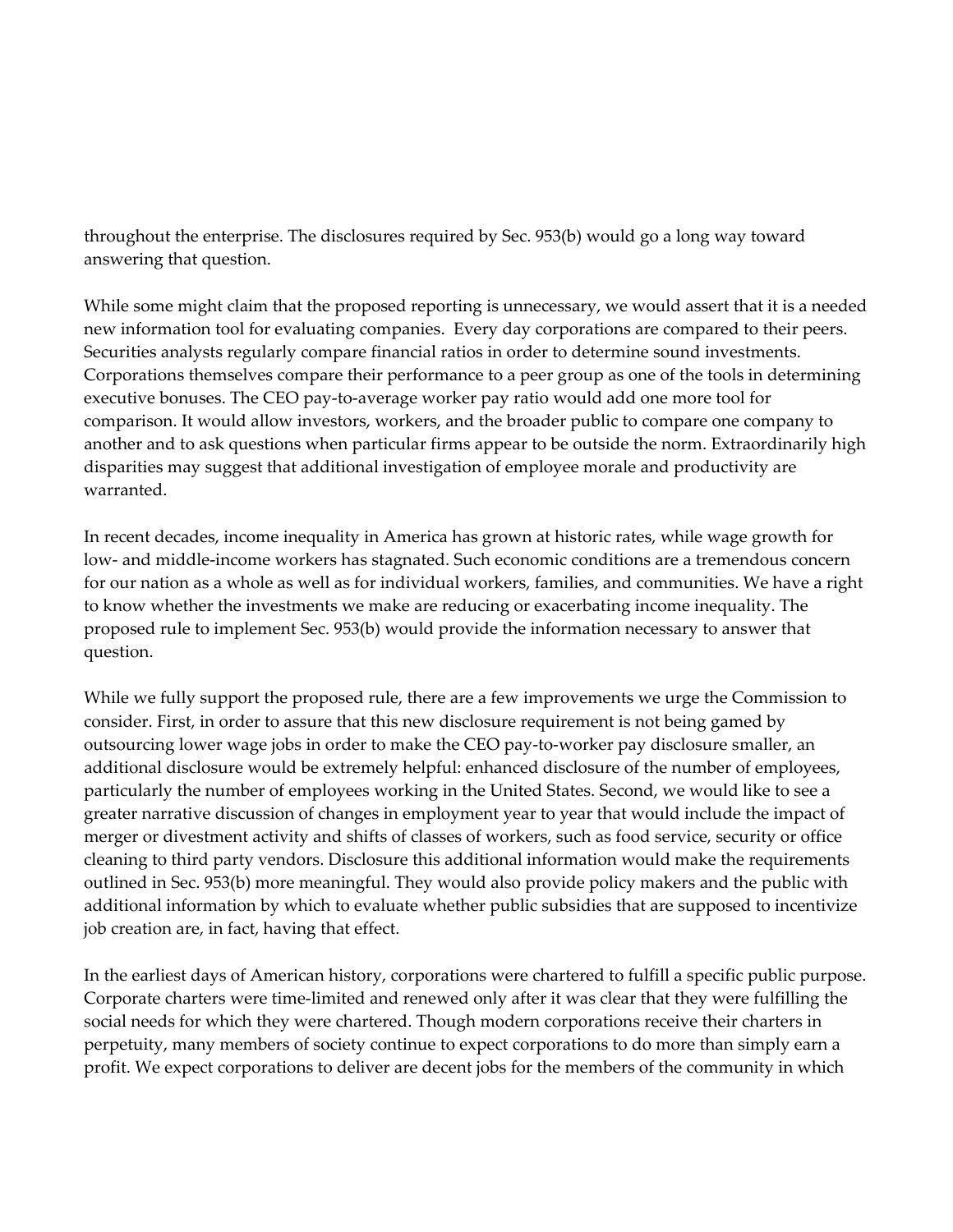throughout the enterprise. The disclosures required by Sec. 953(b) would go a long way toward answering that question.

While some might claim that the proposed reporting is unnecessary, we would assert that it is a needed new information tool for evaluating companies. Every day corporations are compared to their peers. Securities analysts regularly compare financial ratios in order to determine sound investments. Corporations themselves compare their performance to a peer group as one of the tools in determining executive bonuses. The CEO pay‐to‐average worker pay ratio would add one more tool for comparison. It would allow investors, workers, and the broader public to compare one company to another and to ask questions when particular firms appear to be outside the norm. Extraordinarily high disparities may suggest that additional investigation of employee morale and productivity are warranted.

In recent decades, income inequality in America has grown at historic rates, while wage growth for low- and middle-income workers has stagnated. Such economic conditions are a tremendous concern for our nation as a whole as well as for individual workers, families, and communities. We have a right to know whether the investments we make are reducing or exacerbating income inequality. The proposed rule to implement Sec. 953(b) would provide the information necessary to answer that question.

While we fully support the proposed rule, there are a few improvements we urge the Commission to consider. First, in order to assure that this new disclosure requirement is not being gamed by outsourcing lower wage jobs in order to make the CEO pay‐to‐worker pay disclosure smaller, an additional disclosure would be extremely helpful: enhanced disclosure of the number of employees, particularly the number of employees working in the United States. Second, we would like to see a greater narrative discussion of changes in employment year to year that would include the impact of merger or divestment activity and shifts of classes of workers, such as food service, security or office cleaning to third party vendors. Disclosure this additional information would make the requirements outlined in Sec. 953(b) more meaningful. They would also provide policy makers and the public with additional information by which to evaluate whether public subsidies that are supposed to incentivize job creation are, in fact, having that effect.

In the earliest days of American history, corporations were chartered to fulfill a specific public purpose. Corporate charters were time‐limited and renewed only after it was clear that they were fulfilling the social needs for which they were chartered. Though modern corporations receive their charters in perpetuity, many members of society continue to expect corporations to do more than simply earn a profit. We expect corporations to deliver are decent jobs for the members of the community in which